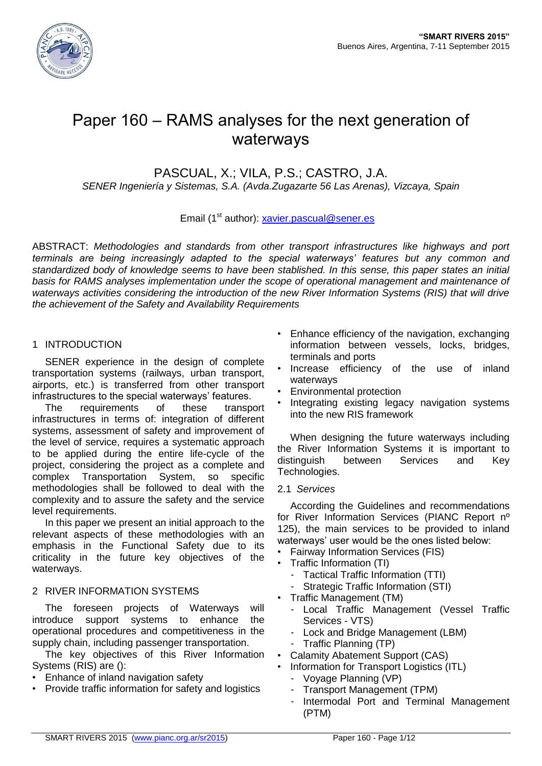

# Paper 160 – RAMS analyses for the next generation of waterways

# PASCUAL, X.; VILA, P.S.; CASTRO, J.A.

*SENER Ingeniería y Sistemas, S.A. (Avda.Zugazarte 56 Las Arenas), Vizcaya, Spain*

# Email (1<sup>st</sup> author): [xavier.pascual@sener.es](mailto:xavier.pascual@sener.es)

ABSTRACT: *Methodologies and standards from other transport infrastructures like highways and port terminals are being increasingly adapted to the special waterways' features but any common and standardized body of knowledge seems to have been stablished. In this sense, this paper states an initial basis for RAMS analyses implementation under the scope of operational management and maintenance of waterways activities considering the introduction of the new River Information Systems (RIS) that will drive the achievement of the Safety and Availability Requirements*

### 1 INTRODUCTION

SENER experience in the design of complete transportation systems (railways, urban transport, airports, etc.) is transferred from other transport infrastructures to the special waterways' features.

The requirements of these transport infrastructures in terms of: integration of different systems, assessment of safety and improvement of the level of service, requires a systematic approach to be applied during the entire life-cycle of the project, considering the project as a complete and complex Transportation System, so specific methodologies shall be followed to deal with the complexity and to assure the safety and the service level requirements.

In this paper we present an initial approach to the relevant aspects of these methodologies with an emphasis in the Functional Safety due to its criticality in the future key objectives of the waterways.

#### 2 RIVER INFORMATION SYSTEMS

The foreseen projects of Waterways will introduce support systems to enhance the operational procedures and competitiveness in the supply chain, including passenger transportation.

The key objectives of this River Information Systems (RIS) are ():

- Enhance of inland navigation safety
- Provide traffic information for safety and logistics
- Enhance efficiency of the navigation, exchanging information between vessels, locks, bridges, terminals and ports
- Increase efficiency of the use of inland waterways
- Environmental protection
- Integrating existing legacy navigation systems into the new RIS framework

When designing the future waterways including the River Information Systems it is important to distinguish between Services and Key Technologies.

2.1 *Services*

According the Guidelines and recommendations for River Information Services (PIANC Report nº 125), the main services to be provided to inland waterways' user would be the ones listed below:

- Fairway Information Services (FIS)
- Traffic Information (TI)
	- Tactical Traffic Information (TTI)
	- Strategic Traffic Information (STI)
- Traffic Management (TM)
	- Local Traffic Management (Vessel Traffic Services - VTS)
	- Lock and Bridge Management (LBM)
	- Traffic Planning (TP)
- Calamity Abatement Support (CAS)
	- Information for Transport Logistics (ITL)
	- Voyage Planning (VP)
	- Transport Management (TPM)
	- Intermodal Port and Terminal Management (PTM)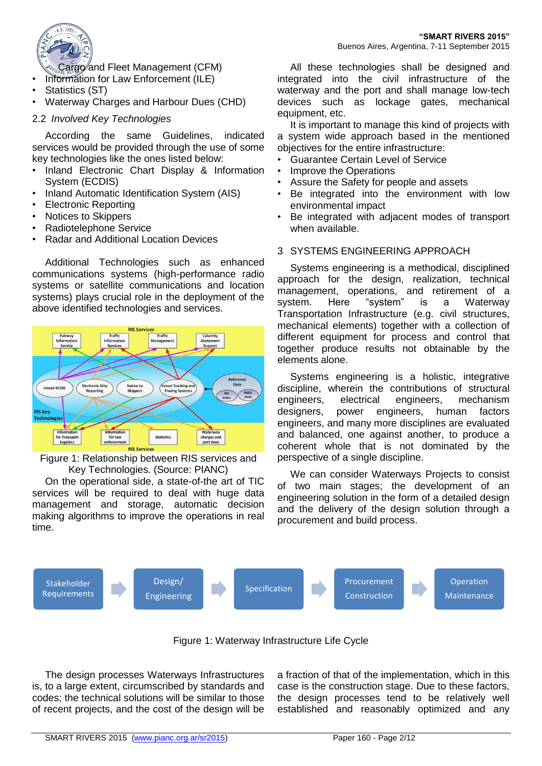

- Information for Law Enforcement (ILE)
- Statistics (ST)
- Waterway Charges and Harbour Dues (CHD)

# 2.2 *Involved Key Technologies*

According the same Guidelines, indicated services would be provided through the use of some key technologies like the ones listed below:

- Inland Electronic Chart Display & Information System (ECDIS)
- Inland Automatic Identification System (AIS)
- Electronic Reporting
- Notices to Skippers
- Radiotelephone Service
- Radar and Additional Location Devices

Additional Technologies such as enhanced communications systems (high-performance radio systems or satellite communications and location systems) plays crucial role in the deployment of the above identified technologies and services.



Figure 1: Relationship between RIS services and Key Technologies. (Source: PIANC)

On the operational side, a state-of-the art of TIC services will be required to deal with huge data management and storage, automatic decision making algorithms to improve the operations in real time.

All these technologies shall be designed and integrated into the civil infrastructure of the waterway and the port and shall manage low-tech devices such as lockage gates, mechanical equipment, etc.

It is important to manage this kind of projects with a system wide approach based in the mentioned objectives for the entire infrastructure:

- Guarantee Certain Level of Service
- Improve the Operations
- Assure the Safety for people and assets
- Be integrated into the environment with low environmental impact
- Be integrated with adjacent modes of transport when available.

# 3 SYSTEMS ENGINEERING APPROACH

Systems engineering is a methodical, disciplined approach for the design, realization, technical management, operations, and retirement of a system. Here "system" is a Waterway Transportation Infrastructure (e.g. civil structures, mechanical elements) together with a collection of different equipment for process and control that together produce results not obtainable by the elements alone.

Systems engineering is a holistic, integrative discipline, wherein the contributions of structural engineers, electrical engineers, mechanism designers, power engineers, human factors engineers, and many more disciplines are evaluated and balanced, one against another, to produce a coherent whole that is not dominated by the perspective of a single discipline.

We can consider Waterways Projects to consist of two main stages; the development of an engineering solution in the form of a detailed design and the delivery of the design solution through a procurement and build process.



Figure 1: Waterway Infrastructure Life Cycle

The design processes Waterways Infrastructures is, to a large extent, circumscribed by standards and codes; the technical solutions will be similar to those of recent projects, and the cost of the design will be

a fraction of that of the implementation, which in this case is the construction stage. Due to these factors, the design processes tend to be relatively well established and reasonably optimized and any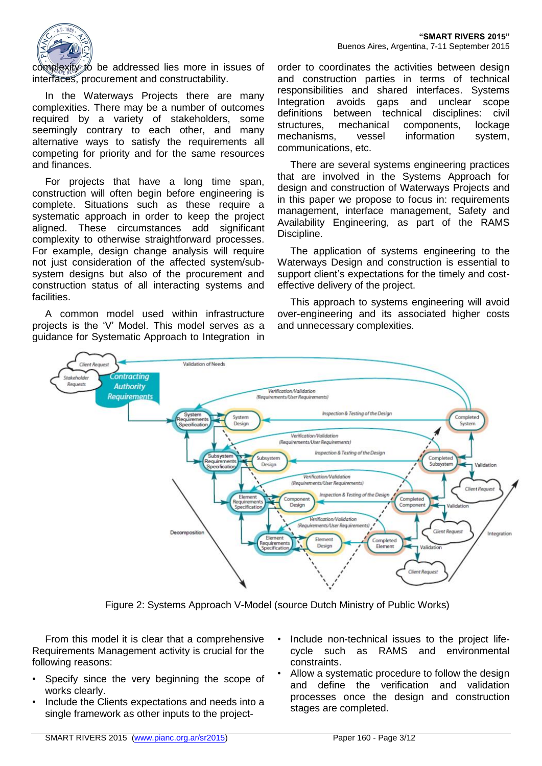

complexity to be addressed lies more in issues of interfaces, procurement and constructability.

In the Waterways Projects there are many complexities. There may be a number of outcomes required by a variety of stakeholders, some seemingly contrary to each other, and many alternative ways to satisfy the requirements all competing for priority and for the same resources and finances.

For projects that have a long time span, construction will often begin before engineering is complete. Situations such as these require a systematic approach in order to keep the project aligned. These circumstances add significant complexity to otherwise straightforward processes. For example, design change analysis will require not just consideration of the affected system/subsystem designs but also of the procurement and construction status of all interacting systems and **facilities** 

A common model used within infrastructure projects is the 'V' Model. This model serves as a guidance for Systematic Approach to Integration in

order to coordinates the activities between design and construction parties in terms of technical responsibilities and shared interfaces. Systems Integration avoids gaps and unclear scope definitions between technical disciplines: civil structures, mechanical components, lockage mechanisms, vessel information system, communications, etc.

There are several systems engineering practices that are involved in the Systems Approach for design and construction of Waterways Projects and in this paper we propose to focus in: requirements management, interface management, Safety and Availability Engineering, as part of the RAMS Discipline.

The application of systems engineering to the Waterways Design and construction is essential to support client's expectations for the timely and costeffective delivery of the project.

This approach to systems engineering will avoid over-engineering and its associated higher costs and unnecessary complexities.



Figure 2: Systems Approach V-Model (source Dutch Ministry of Public Works)

From this model it is clear that a comprehensive Requirements Management activity is crucial for the following reasons:

- Specify since the very beginning the scope of works clearly.
- Include the Clients expectations and needs into a single framework as other inputs to the project-
- Include non-technical issues to the project lifecycle such as RAMS and environmental constraints.
- Allow a systematic procedure to follow the design and define the verification and validation processes once the design and construction stages are completed.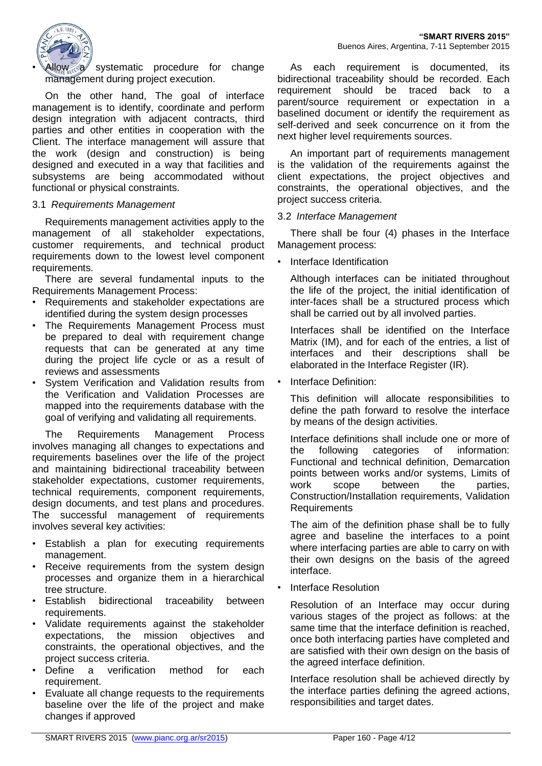

 $\gg$  systematic procedure for change management during project execution.

On the other hand, The goal of interface management is to identify, coordinate and perform design integration with adjacent contracts, third parties and other entities in cooperation with the Client. The interface management will assure that the work (design and construction) is being designed and executed in a way that facilities and subsystems are being accommodated without functional or physical constraints.

#### 3.1 *Requirements Management*

Requirements management activities apply to the management of all stakeholder expectations, customer requirements, and technical product requirements down to the lowest level component requirements.

There are several fundamental inputs to the Requirements Management Process:

- Requirements and stakeholder expectations are identified during the system design processes
- The Requirements Management Process must be prepared to deal with requirement change requests that can be generated at any time during the project life cycle or as a result of reviews and assessments
- System Verification and Validation results from the Verification and Validation Processes are mapped into the requirements database with the goal of verifying and validating all requirements.

The Requirements Management Process involves managing all changes to expectations and requirements baselines over the life of the project and maintaining bidirectional traceability between stakeholder expectations, customer requirements, technical requirements, component requirements, design documents, and test plans and procedures. The successful management of requirements involves several key activities:

- Establish a plan for executing requirements management.
- Receive requirements from the system design processes and organize them in a hierarchical tree structure.
- Establish bidirectional traceability between requirements.
- Validate requirements against the stakeholder expectations, the mission objectives and constraints, the operational objectives, and the project success criteria.
- Define a verification method for each requirement.
- Evaluate all change requests to the requirements baseline over the life of the project and make changes if approved

As each requirement is documented, its bidirectional traceability should be recorded. Each requirement should be traced back to a parent/source requirement or expectation in a baselined document or identify the requirement as self-derived and seek concurrence on it from the next higher level requirements sources.

An important part of requirements management is the validation of the requirements against the client expectations, the project objectives and constraints, the operational objectives, and the project success criteria.

#### 3.2 *Interface Management*

There shall be four (4) phases in the Interface Management process:

• Interface Identification

Although interfaces can be initiated throughout the life of the project, the initial identification of inter-faces shall be a structured process which shall be carried out by all involved parties.

Interfaces shall be identified on the Interface Matrix (IM), and for each of the entries, a list of interfaces and their descriptions shall be elaborated in the Interface Register (IR).

• Interface Definition:

This definition will allocate responsibilities to define the path forward to resolve the interface by means of the design activities.

Interface definitions shall include one or more of the following categories of information: Functional and technical definition, Demarcation points between works and/or systems, Limits of work scope between the parties, Construction/Installation requirements, Validation Requirements

The aim of the definition phase shall be to fully agree and baseline the interfaces to a point where interfacing parties are able to carry on with their own designs on the basis of the agreed interface.

• Interface Resolution

Resolution of an Interface may occur during various stages of the project as follows: at the same time that the interface definition is reached, once both interfacing parties have completed and are satisfied with their own design on the basis of the agreed interface definition.

Interface resolution shall be achieved directly by the interface parties defining the agreed actions, responsibilities and target dates.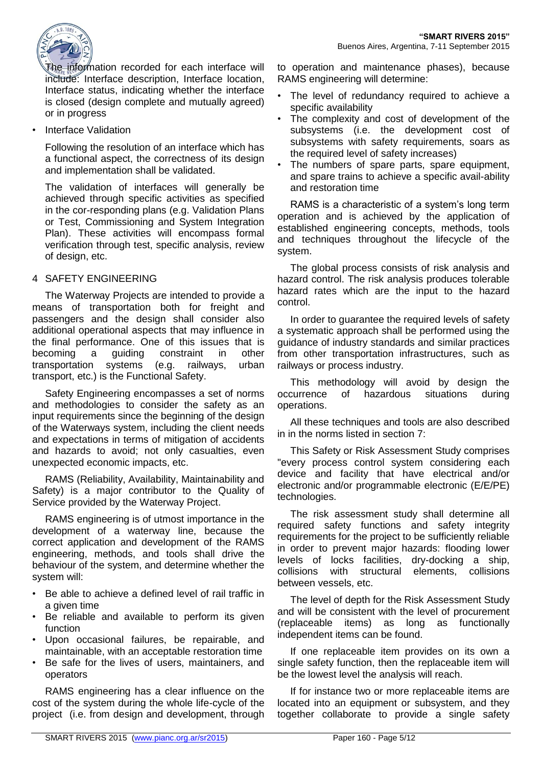

The information recorded for each interface will include: Interface description, Interface location, Interface status, indicating whether the interface is closed (design complete and mutually agreed) or in progress

• Interface Validation

Following the resolution of an interface which has a functional aspect, the correctness of its design and implementation shall be validated.

The validation of interfaces will generally be achieved through specific activities as specified in the cor-responding plans (e.g. Validation Plans or Test, Commissioning and System Integration Plan). These activities will encompass formal verification through test, specific analysis, review of design, etc.

# 4 SAFETY ENGINEERING

The Waterway Projects are intended to provide a means of transportation both for freight and passengers and the design shall consider also additional operational aspects that may influence in the final performance. One of this issues that is becoming a guiding constraint in other transportation systems (e.g. railways, urban transport, etc.) is the Functional Safety.

Safety Engineering encompasses a set of norms and methodologies to consider the safety as an input requirements since the beginning of the design of the Waterways system, including the client needs and expectations in terms of mitigation of accidents and hazards to avoid; not only casualties, even unexpected economic impacts, etc.

RAMS (Reliability, Availability, Maintainability and Safety) is a major contributor to the Quality of Service provided by the Waterway Project.

RAMS engineering is of utmost importance in the development of a waterway line, because the correct application and development of the RAMS engineering, methods, and tools shall drive the behaviour of the system, and determine whether the system will:

- Be able to achieve a defined level of rail traffic in a given time
- Be reliable and available to perform its given function
- Upon occasional failures, be repairable, and maintainable, with an acceptable restoration time
- Be safe for the lives of users, maintainers, and operators

RAMS engineering has a clear influence on the cost of the system during the whole life-cycle of the project (i.e. from design and development, through to operation and maintenance phases), because RAMS engineering will determine:

- The level of redundancy required to achieve a specific availability
- The complexity and cost of development of the subsystems (i.e. the development cost of subsystems with safety requirements, soars as the required level of safety increases)
- The numbers of spare parts, spare equipment, and spare trains to achieve a specific avail-ability and restoration time

RAMS is a characteristic of a system's long term operation and is achieved by the application of established engineering concepts, methods, tools and techniques throughout the lifecycle of the system.

The global process consists of risk analysis and hazard control. The risk analysis produces tolerable hazard rates which are the input to the hazard control.

In order to guarantee the required levels of safety a systematic approach shall be performed using the guidance of industry standards and similar practices from other transportation infrastructures, such as railways or process industry.

This methodology will avoid by design the occurrence of hazardous situations during operations.

All these techniques and tools are also described in in the norms listed in section [7:](#page-10-0)

This Safety or Risk Assessment Study comprises "every process control system considering each device and facility that have electrical and/or electronic and/or programmable electronic (E/E/PE) technologies.

The risk assessment study shall determine all required safety functions and safety integrity requirements for the project to be sufficiently reliable in order to prevent major hazards: flooding lower levels of locks facilities, dry-docking a ship, collisions with structural elements, collisions between vessels, etc.

The level of depth for the Risk Assessment Study and will be consistent with the level of procurement (replaceable items) as long as functionally independent items can be found.

If one replaceable item provides on its own a single safety function, then the replaceable item will be the lowest level the analysis will reach.

If for instance two or more replaceable items are located into an equipment or subsystem, and they together collaborate to provide a single safety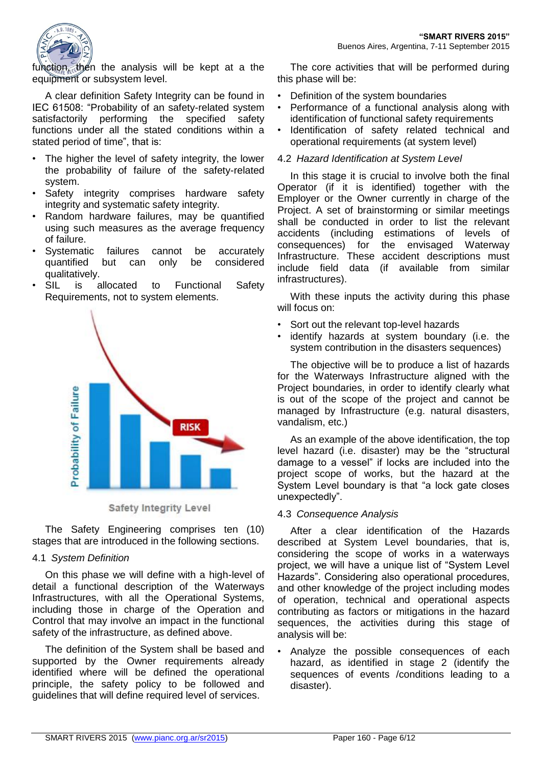

function, then the analysis will be kept at a the equipment or subsystem level.

A clear definition Safety Integrity can be found in IEC 61508: "Probability of an safety-related system satisfactorily performing the specified safety functions under all the stated conditions within a stated period of time", that is:

- The higher the level of safety integrity, the lower the probability of failure of the safety-related system.
- Safety integrity comprises hardware safety integrity and systematic safety integrity.
- Random hardware failures, may be quantified using such measures as the average frequency of failure.
- Systematic failures cannot be accurately quantified but can only be considered qualitatively.
- SIL is allocated to Functional Safety Requirements, not to system elements.



**Safety Integrity Level** 

The Safety Engineering comprises ten (10) stages that are introduced in the following sections.

#### 4.1 *System Definition*

On this phase we will define with a high-level of detail a functional description of the Waterways Infrastructures, with all the Operational Systems, including those in charge of the Operation and Control that may involve an impact in the functional safety of the infrastructure, as defined above.

The definition of the System shall be based and supported by the Owner requirements already identified where will be defined the operational principle, the safety policy to be followed and guidelines that will define required level of services.

The core activities that will be performed during this phase will be:

- Definition of the system boundaries
- Performance of a functional analysis along with identification of functional safety requirements
- Identification of safety related technical and operational requirements (at system level)

#### 4.2 *Hazard Identification at System Level*

In this stage it is crucial to involve both the final Operator (if it is identified) together with the Employer or the Owner currently in charge of the Project. A set of brainstorming or similar meetings shall be conducted in order to list the relevant accidents (including estimations of levels of consequences) for the envisaged Waterway Infrastructure. These accident descriptions must include field data (if available from similar infrastructures).

With these inputs the activity during this phase will focus on:

- Sort out the relevant top-level hazards
- identify hazards at system boundary (i.e. the system contribution in the disasters sequences)

The objective will be to produce a list of hazards for the Waterways Infrastructure aligned with the Project boundaries, in order to identify clearly what is out of the scope of the project and cannot be managed by Infrastructure (e.g. natural disasters, vandalism, etc.)

As an example of the above identification, the top level hazard (i.e. disaster) may be the "structural damage to a vessel" if locks are included into the project scope of works, but the hazard at the System Level boundary is that "a lock gate closes unexpectedly".

#### 4.3 *Consequence Analysis*

After a clear identification of the Hazards described at System Level boundaries, that is, considering the scope of works in a waterways project, we will have a unique list of "System Level Hazards". Considering also operational procedures, and other knowledge of the project including modes of operation, technical and operational aspects contributing as factors or mitigations in the hazard sequences, the activities during this stage of analysis will be:

• Analyze the possible consequences of each hazard, as identified in stage 2 (identify the sequences of events /conditions leading to a disaster).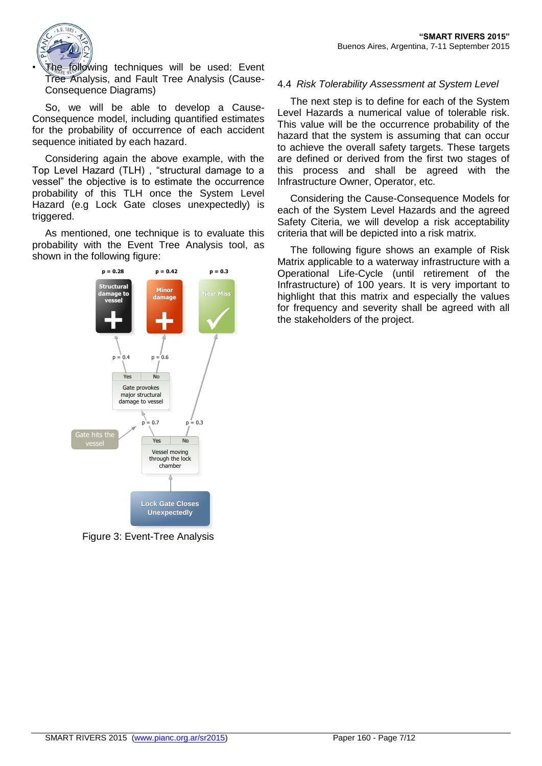

The following techniques will be used: Event Tree Analysis, and Fault Tree Analysis (Cause-Consequence Diagrams)

So, we will be able to develop a Cause-Consequence model, including quantified estimates for the probability of occurrence of each accident sequence initiated by each hazard.

Considering again the above example, with the Top Level Hazard (TLH) , "structural damage to a vessel" the objective is to estimate the occurrence probability of this TLH once the System Level Hazard (e.g Lock Gate closes unexpectedly) is triggered.

As mentioned, one technique is to evaluate this probability with the Event Tree Analysis tool, as shown in the following figure:



Figure 3: Event-Tree Analysis

#### 4.4 *Risk Tolerability Assessment at System Level*

The next step is to define for each of the System Level Hazards a numerical value of tolerable risk. This value will be the occurrence probability of the hazard that the system is assuming that can occur to achieve the overall safety targets. These targets are defined or derived from the first two stages of this process and shall be agreed with the Infrastructure Owner, Operator, etc.

Considering the Cause-Consequence Models for each of the System Level Hazards and the agreed Safety Citeria, we will develop a risk acceptability criteria that will be depicted into a risk matrix.

The following figure shows an example of Risk Matrix applicable to a waterway infrastructure with a Operational Life-Cycle (until retirement of the Infrastructure) of 100 years. It is very important to highlight that this matrix and especially the values for frequency and severity shall be agreed with all the stakeholders of the project.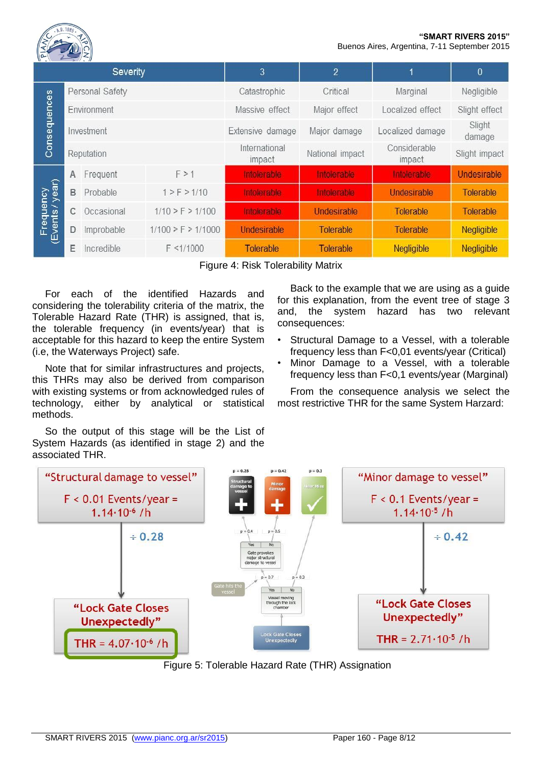#### **"SMART RIVERS 2015"** Buenos Aires, Argentina, 7-11 September 2015



| $N = N$<br>$\sum$ $\sum$ $\sum$<br><b>Severity</b> |                 |            |                        | 3                       | $\overline{2}$   |                        | 0                |
|----------------------------------------------------|-----------------|------------|------------------------|-------------------------|------------------|------------------------|------------------|
| Consequences                                       | Personal Safety |            |                        | Catastrophic            | Critical         | Marginal               | Negligible       |
|                                                    | Environment     |            |                        | Massive effect          | Major effect     | Localized effect       | Slight effect    |
|                                                    | Investment      |            |                        | Extensive damage        | Major damage     | Localized damage       | Slight<br>damage |
|                                                    | Reputation      |            |                        | International<br>impact | National impact  | Considerable<br>impact | Slight impact    |
| year)<br>Frequency<br>(Events / yeal               | A               | Frequent   | F > 1                  | <b>Intolerable</b>      | Intolerable      | Intolerable            | Undesirable      |
|                                                    | B               | Probable   | 1 > F > 1/10           | Intolerable             | Intolerable      | Undesirable            | <b>Tolerable</b> |
|                                                    | C               | Occasional | $1/10$ > F > $1/100$   | Intolerable             | Undesirable      | Tolerable              | Tolerable        |
|                                                    | D               | Improbable | $1/100$ > F > $1/1000$ | <b>Undesirable</b>      | Tolerable        | Tolerable              | Negligible       |
|                                                    | F               | Incredible | $F \le 1/1000$         | <b>Tolerable</b>        | <b>Tolerable</b> | Negligible             | Negligible       |

Figure 4: Risk Tolerability Matrix

For each of the identified Hazards and considering the tolerability criteria of the matrix, the Tolerable Hazard Rate (THR) is assigned, that is, the tolerable frequency (in events/year) that is acceptable for this hazard to keep the entire System (i.e, the Waterways Project) safe.

Note that for similar infrastructures and projects, this THRs may also be derived from comparison with existing systems or from acknowledged rules of technology, either by analytical or statistical methods.

So the output of this stage will be the List of System Hazards (as identified in stage 2) and the associated THR.

Back to the example that we are using as a guide for this explanation, from the event tree of stage 3 and, the system hazard has two relevant consequences:

- Structural Damage to a Vessel, with a tolerable frequency less than F<0,01 events/year (Critical)
- Minor Damage to a Vessel, with a tolerable frequency less than F<0,1 events/year (Marginal)

From the consequence analysis we select the most restrictive THR for the same System Harzard:



Figure 5: Tolerable Hazard Rate (THR) Assignation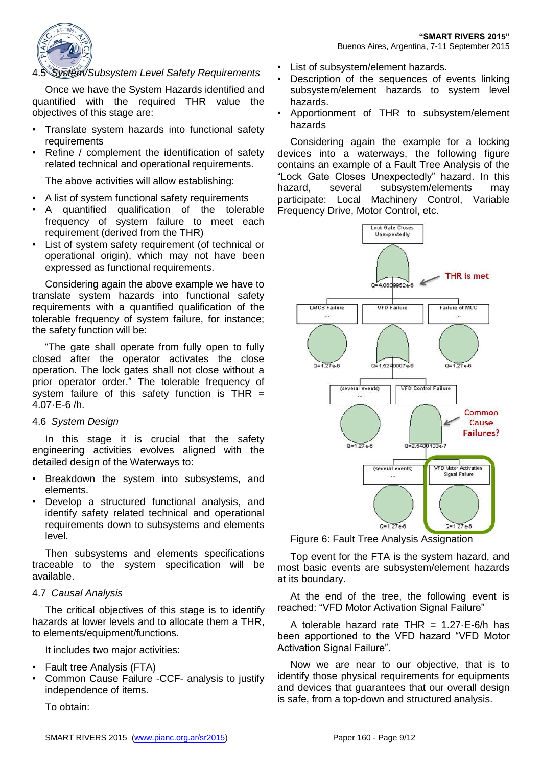

#### 4.5 *System/Subsystem Level Safety Requirements*

Once we have the System Hazards identified and quantified with the required THR value the objectives of this stage are:

- Translate system hazards into functional safety requirements
- Refine / complement the identification of safety related technical and operational requirements.

The above activities will allow establishing:

- A list of system functional safety requirements
- A quantified qualification of the tolerable frequency of system failure to meet each requirement (derived from the THR)
- List of system safety requirement (of technical or operational origin), which may not have been expressed as functional requirements.

Considering again the above example we have to translate system hazards into functional safety requirements with a quantified qualification of the tolerable frequency of system failure, for instance; the safety function will be:

"The gate shall operate from fully open to fully closed after the operator activates the close operation. The lock gates shall not close without a prior operator order." The tolerable frequency of system failure of this safety function is  $THR =$ 4.07·E-6 /h.

#### 4.6 *System Design*

In this stage it is crucial that the safety engineering activities evolves aligned with the detailed design of the Waterways to:

- Breakdown the system into subsystems, and elements.
- Develop a structured functional analysis, and identify safety related technical and operational requirements down to subsystems and elements level.

Then subsystems and elements specifications traceable to the system specification will be available.

#### 4.7 *Causal Analysis*

The critical objectives of this stage is to identify hazards at lower levels and to allocate them a THR, to elements/equipment/functions.

It includes two major activities:

- Fault tree Analysis (FTA)
- Common Cause Failure -CCF- analysis to justify independence of items.

To obtain:

- List of subsystem/element hazards.
- Description of the sequences of events linking subsystem/element hazards to system level hazards.
- Apportionment of THR to subsystem/element hazards

Considering again the example for a locking devices into a waterways, the following figure contains an example of a Fault Tree Analysis of the "Lock Gate Closes Unexpectedly" hazard. In this hazard, several subsystem/elements may participate: Local Machinery Control, Variable Frequency Drive, Motor Control, etc.



Figure 6: Fault Tree Analysis Assignation

Top event for the FTA is the system hazard, and most basic events are subsystem/element hazards at its boundary.

At the end of the tree, the following event is reached: "VFD Motor Activation Signal Failure"

A tolerable hazard rate THR =  $1.27 \cdot E \cdot 6/h$  has been apportioned to the VFD hazard "VFD Motor Activation Signal Failure".

Now we are near to our objective, that is to identify those physical requirements for equipments and devices that guarantees that our overall design is safe, from a top-down and structured analysis.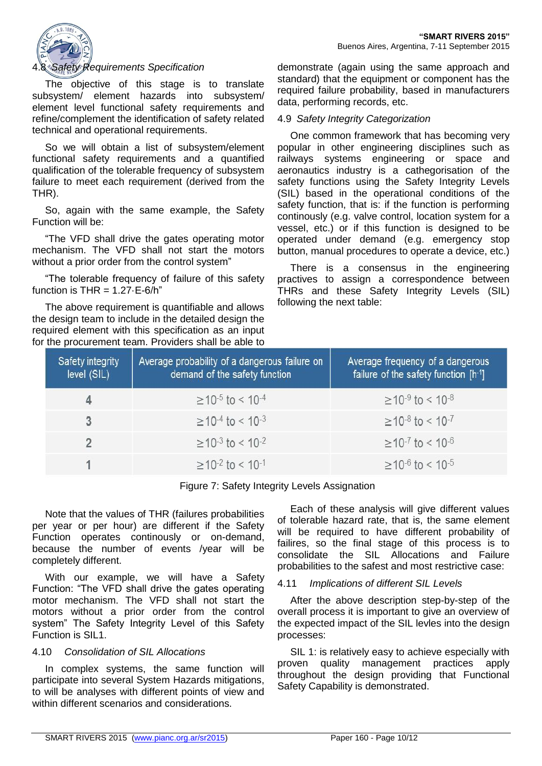

#### 4.8 *Safety Requirements Specification*

The objective of this stage is to translate subsystem/ element hazards into subsystem/ element level functional safety requirements and refine/complement the identification of safety related technical and operational requirements.

So we will obtain a list of subsystem/element functional safety requirements and a quantified qualification of the tolerable frequency of subsystem failure to meet each requirement (derived from the THR).

So, again with the same example, the Safety Function will be:

"The VFD shall drive the gates operating motor mechanism. The VFD shall not start the motors without a prior order from the control system"

"The tolerable frequency of failure of this safety function is THR =  $1.27 \cdot E - 6/h$ "

The above requirement is quantifiable and allows the design team to include in the detailed design the required element with this specification as an input for the procurement team. Providers shall be able to demonstrate (again using the same approach and standard) that the equipment or component has the required failure probability, based in manufacturers data, performing records, etc.

#### 4.9 *Safety Integrity Categorization*

One common framework that has becoming very popular in other engineering disciplines such as railways systems engineering or space and aeronautics industry is a cathegorisation of the safety functions using the Safety Integrity Levels (SIL) based in the operational conditions of the safety function, that is: if the function is performing continously (e.g. valve control, location system for a vessel, etc.) or if this function is designed to be operated under demand (e.g. emergency stop button, manual procedures to operate a device, etc.)

There is a consensus in the engineering practives to assign a correspondence between THRs and these Safety Integrity Levels (SIL) following the next table:

| Safety integrity<br>level (SIL) | Average probability of a dangerous failure on<br>demand of the safety function | Average frequency of a dangerous<br>failure of the safety function $[h^{-1}]$ |
|---------------------------------|--------------------------------------------------------------------------------|-------------------------------------------------------------------------------|
| 4                               | $\geq$ 10 <sup>-5</sup> to < 10 <sup>-4</sup>                                  | $\geq$ 10 <sup>-9</sup> to < 10 <sup>-8</sup>                                 |
| 3                               | $\geq$ 10 <sup>-4</sup> to < 10 <sup>-3</sup>                                  | $\geq$ 10 <sup>-8</sup> to < 10 <sup>-7</sup>                                 |
| $\mathfrak{p}$                  | $>10^{-3}$ to < 10 <sup>-2</sup>                                               | $\geq$ 10 <sup>-7</sup> to < 10 <sup>-6</sup>                                 |
|                                 | $>10^{-2}$ to < 10 <sup>-1</sup>                                               | $\geq$ 10 <sup>-6</sup> to < 10 <sup>-5</sup>                                 |

Figure 7: Safety Integrity Levels Assignation

Note that the values of THR (failures probabilities per year or per hour) are different if the Safety Function operates continously or on-demand, because the number of events /year will be completely different.

With our example, we will have a Safety Function: "The VFD shall drive the gates operating motor mechanism. The VFD shall not start the motors without a prior order from the control system" The Safety Integrity Level of this Safety Function is SIL1.

#### 4.10 *Consolidation of SIL Allocations*

In complex systems, the same function will participate into several System Hazards mitigations, to will be analyses with different points of view and within different scenarios and considerations.

Each of these analysis will give different values of tolerable hazard rate, that is, the same element will be required to have different probability of failires, so the final stage of this process is to consolidate the SIL Allocations and Failure probabilities to the safest and most restrictive case:

#### 4.11 *Implications of different SIL Levels*

After the above description step-by-step of the overall process it is important to give an overview of the expected impact of the SIL levles into the design processes:

SIL 1: is relatively easy to achieve especially with proven quality management practices apply throughout the design providing that Functional Safety Capability is demonstrated.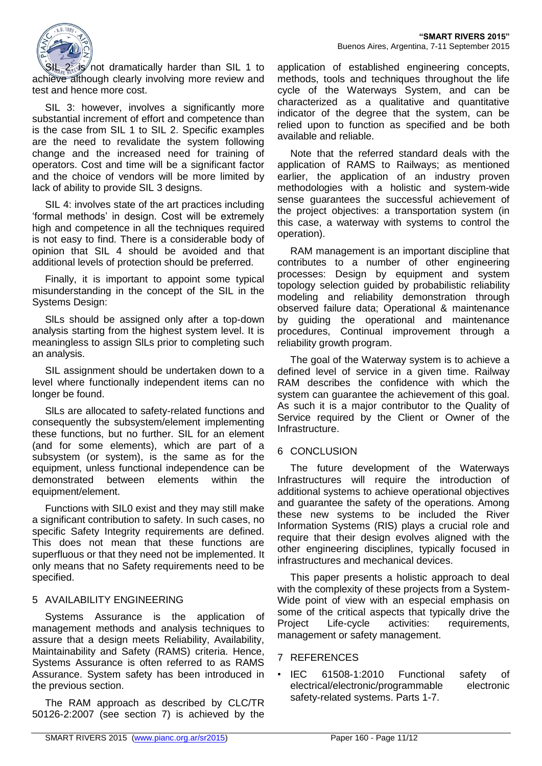

 $2$ : is not dramatically harder than SIL 1 to achieve although clearly involving more review and test and hence more cost.

SIL 3: however, involves a significantly more substantial increment of effort and competence than is the case from SIL 1 to SIL 2. Specific examples are the need to revalidate the system following change and the increased need for training of operators. Cost and time will be a significant factor and the choice of vendors will be more limited by lack of ability to provide SIL 3 designs.

SIL 4: involves state of the art practices including 'formal methods' in design. Cost will be extremely high and competence in all the techniques required is not easy to find. There is a considerable body of opinion that SIL 4 should be avoided and that additional levels of protection should be preferred.

Finally, it is important to appoint some typical misunderstanding in the concept of the SIL in the Systems Design:

SlLs should be assigned only after a top-down analysis starting from the highest system level. It is meaningless to assign SlLs prior to completing such an analysis.

SIL assignment should be undertaken down to a level where functionally independent items can no longer be found.

SlLs are allocated to safety-related functions and consequently the subsystem/element implementing these functions, but no further. SIL for an element (and for some elements), which are part of a subsystem (or system), is the same as for the equipment, unless functional independence can be demonstrated between elements within the equipment/element.

Functions with SIL0 exist and they may still make a significant contribution to safety. In such cases, no specific Safety Integrity requirements are defined. This does not mean that these functions are superfluous or that they need not be implemented. It only means that no Safety requirements need to be specified.

# 5 AVAILABILITY ENGINEERING

Systems Assurance is the application of management methods and analysis techniques to assure that a design meets Reliability, Availability, Maintainability and Safety (RAMS) criteria. Hence, Systems Assurance is often referred to as RAMS Assurance. System safety has been introduced in the previous section.

The RAM approach as described by CLC/TR 50126-2:2007 (see section [7\)](#page-10-0) is achieved by the application of established engineering concepts, methods, tools and techniques throughout the life cycle of the Waterways System, and can be characterized as a qualitative and quantitative indicator of the degree that the system, can be relied upon to function as specified and be both available and reliable.

Note that the referred standard deals with the application of RAMS to Railways; as mentioned earlier, the application of an industry proven methodologies with a holistic and system-wide sense quarantees the successful achievement of the project objectives: a transportation system (in this case, a waterway with systems to control the operation).

RAM management is an important discipline that contributes to a number of other engineering processes: Design by equipment and system topology selection guided by probabilistic reliability modeling and reliability demonstration through observed failure data; Operational & maintenance by guiding the operational and maintenance procedures, Continual improvement through a reliability growth program.

The goal of the Waterway system is to achieve a defined level of service in a given time. Railway RAM describes the confidence with which the system can guarantee the achievement of this goal. As such it is a major contributor to the Quality of Service required by the Client or Owner of the Infrastructure.

#### 6 CONCLUSION

The future development of the Waterways Infrastructures will require the introduction of additional systems to achieve operational objectives and guarantee the safety of the operations. Among these new systems to be included the River Information Systems (RIS) plays a crucial role and require that their design evolves aligned with the other engineering disciplines, typically focused in infrastructures and mechanical devices.

This paper presents a holistic approach to deal with the complexity of these projects from a System-Wide point of view with an especial emphasis on some of the critical aspects that typically drive the Project Life-cycle activities: requirements, management or safety management.

#### <span id="page-10-0"></span>7 REFERENCES

• IEC 61508-1:2010 Functional safety of electrical/electronic/programmable electronic safety-related systems. Parts 1-7.